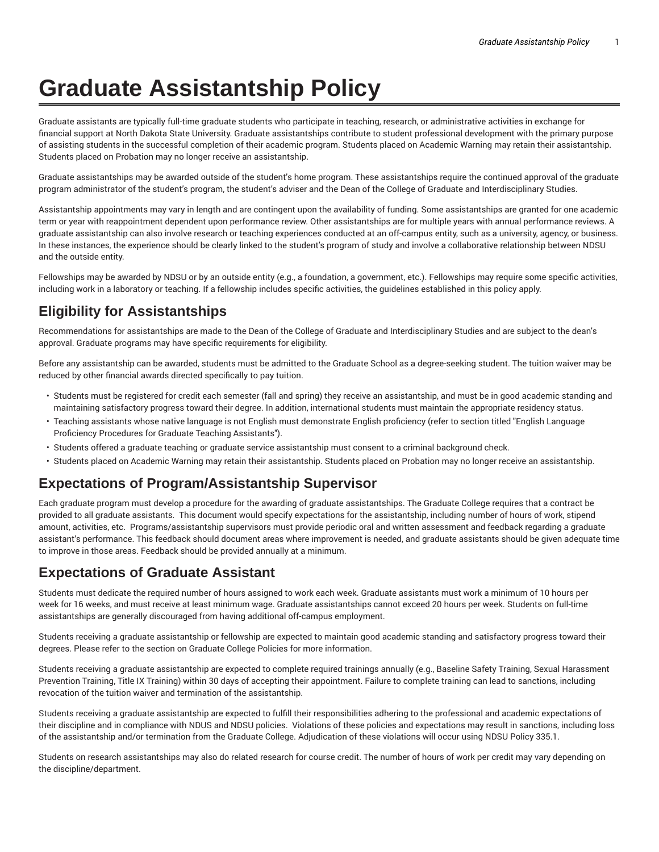# **Graduate Assistantship Policy**

Graduate assistants are typically full-time graduate students who participate in teaching, research, or administrative activities in exchange for financial support at North Dakota State University. Graduate assistantships contribute to student professional development with the primary purpose of assisting students in the successful completion of their academic program. Students placed on Academic Warning may retain their assistantship. Students placed on Probation may no longer receive an assistantship.

Graduate assistantships may be awarded outside of the student's home program. These assistantships require the continued approval of the graduate program administrator of the student's program, the student's adviser and the Dean of the College of Graduate and Interdisciplinary Studies.

Assistantship appointments may vary in length and are contingent upon the availability of funding. Some assistantships are granted for one academic term or year with reappointment dependent upon performance review. Other assistantships are for multiple years with annual performance reviews. A graduate assistantship can also involve research or teaching experiences conducted at an off-campus entity, such as a university, agency, or business. In these instances, the experience should be clearly linked to the student's program of study and involve a collaborative relationship between NDSU and the outside entity.

Fellowships may be awarded by NDSU or by an outside entity (e.g., a foundation, a government, etc.). Fellowships may require some specific activities, including work in a laboratory or teaching. If a fellowship includes specific activities, the guidelines established in this policy apply.

## **Eligibility for Assistantships**

Recommendations for assistantships are made to the Dean of the College of Graduate and Interdisciplinary Studies and are subject to the dean's approval. Graduate programs may have specific requirements for eligibility.

Before any assistantship can be awarded, students must be admitted to the Graduate School as a degree-seeking student. The tuition waiver may be reduced by other financial awards directed specifically to pay tuition.

- Students must be registered for credit each semester (fall and spring) they receive an assistantship, and must be in good academic standing and maintaining satisfactory progress toward their degree. In addition, international students must maintain the appropriate residency status.
- Teaching assistants whose native language is not English must demonstrate English proficiency (refer to section titled "English Language Proficiency Procedures for Graduate Teaching Assistants").
- Students offered a graduate teaching or graduate service assistantship must consent to a criminal background check.
- Students placed on Academic Warning may retain their assistantship. Students placed on Probation may no longer receive an assistantship.

### **Expectations of Program/Assistantship Supervisor**

Each graduate program must develop a procedure for the awarding of graduate assistantships. The Graduate College requires that a contract be provided to all graduate assistants. This document would specify expectations for the assistantship, including number of hours of work, stipend amount, activities, etc. Programs/assistantship supervisors must provide periodic oral and written assessment and feedback regarding a graduate assistant's performance. This feedback should document areas where improvement is needed, and graduate assistants should be given adequate time to improve in those areas. Feedback should be provided annually at a minimum.

#### **Expectations of Graduate Assistant**

Students must dedicate the required number of hours assigned to work each week. Graduate assistants must work a minimum of 10 hours per week for 16 weeks, and must receive at least minimum wage. Graduate assistantships cannot exceed 20 hours per week. Students on full-time assistantships are generally discouraged from having additional off-campus employment.

Students receiving a graduate assistantship or fellowship are expected to maintain good academic standing and satisfactory progress toward their degrees. Please refer to the section on Graduate College Policies for more information.

Students receiving a graduate assistantship are expected to complete required trainings annually (e.g., Baseline Safety Training, Sexual Harassment Prevention Training, Title IX Training) within 30 days of accepting their appointment. Failure to complete training can lead to sanctions, including revocation of the tuition waiver and termination of the assistantship.

Students receiving a graduate assistantship are expected to fulfill their responsibilities adhering to the professional and academic expectations of their discipline and in compliance with NDUS and NDSU policies. Violations of these policies and expectations may result in sanctions, including loss of the assistantship and/or termination from the Graduate College. Adjudication of these violations will occur using NDSU Policy 335.1.

Students on research assistantships may also do related research for course credit. The number of hours of work per credit may vary depending on the discipline/department.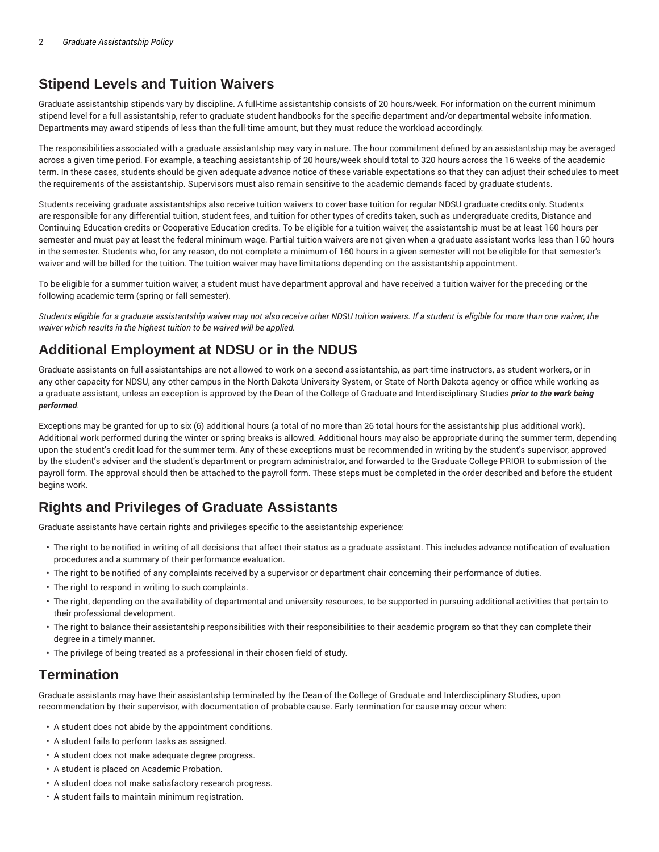# **Stipend Levels and Tuition Waivers**

Graduate assistantship stipends vary by discipline. A full-time assistantship consists of 20 hours/week. For information on the current minimum stipend level for a full assistantship, refer to graduate student handbooks for the specific department and/or departmental website information. Departments may award stipends of less than the full-time amount, but they must reduce the workload accordingly.

The responsibilities associated with a graduate assistantship may vary in nature. The hour commitment defined by an assistantship may be averaged across a given time period. For example, a teaching assistantship of 20 hours/week should total to 320 hours across the 16 weeks of the academic term. In these cases, students should be given adequate advance notice of these variable expectations so that they can adjust their schedules to meet the requirements of the assistantship. Supervisors must also remain sensitive to the academic demands faced by graduate students.

Students receiving graduate assistantships also receive tuition waivers to cover base tuition for regular NDSU graduate credits only. Students are responsible for any differential tuition, student fees, and tuition for other types of credits taken, such as undergraduate credits, Distance and Continuing Education credits or Cooperative Education credits. To be eligible for a tuition waiver, the assistantship must be at least 160 hours per semester and must pay at least the federal minimum wage. Partial tuition waivers are not given when a graduate assistant works less than 160 hours in the semester. Students who, for any reason, do not complete a minimum of 160 hours in a given semester will not be eligible for that semester's waiver and will be billed for the tuition. The tuition waiver may have limitations depending on the assistantship appointment.

To be eligible for a summer tuition waiver, a student must have department approval and have received a tuition waiver for the preceding or the following academic term (spring or fall semester).

Students eligible for a graduate assistantship waiver may not also receive other NDSU tuition waivers. If a student is eligible for more than one waiver, the *waiver which results in the highest tuition to be waived will be applied.*

# **Additional Employment at NDSU or in the NDUS**

Graduate assistants on full assistantships are not allowed to work on a second assistantship, as part-time instructors, as student workers, or in any other capacity for NDSU, any other campus in the North Dakota University System, or State of North Dakota agency or office while working as a graduate assistant, unless an exception is approved by the Dean of the College of Graduate and Interdisciplinary Studies *prior to the work being performed*.

Exceptions may be granted for up to six (6) additional hours (a total of no more than 26 total hours for the assistantship plus additional work). Additional work performed during the winter or spring breaks is allowed. Additional hours may also be appropriate during the summer term, depending upon the student's credit load for the summer term. Any of these exceptions must be recommended in writing by the student's supervisor, approved by the student's adviser and the student's department or program administrator, and forwarded to the Graduate College PRIOR to submission of the payroll form. The approval should then be attached to the payroll form. These steps must be completed in the order described and before the student begins work.

# **Rights and Privileges of Graduate Assistants**

Graduate assistants have certain rights and privileges specific to the assistantship experience:

- The right to be notified in writing of all decisions that affect their status as a graduate assistant. This includes advance notification of evaluation procedures and a summary of their performance evaluation.
- The right to be notified of any complaints received by a supervisor or department chair concerning their performance of duties.
- The right to respond in writing to such complaints.
- The right, depending on the availability of departmental and university resources, to be supported in pursuing additional activities that pertain to their professional development.
- The right to balance their assistantship responsibilities with their responsibilities to their academic program so that they can complete their degree in a timely manner.
- The privilege of being treated as a professional in their chosen field of study.

### **Termination**

Graduate assistants may have their assistantship terminated by the Dean of the College of Graduate and Interdisciplinary Studies, upon recommendation by their supervisor, with documentation of probable cause. Early termination for cause may occur when:

- A student does not abide by the appointment conditions.
- A student fails to perform tasks as assigned.
- A student does not make adequate degree progress.
- A student is placed on Academic Probation.
- A student does not make satisfactory research progress.
- A student fails to maintain minimum registration.